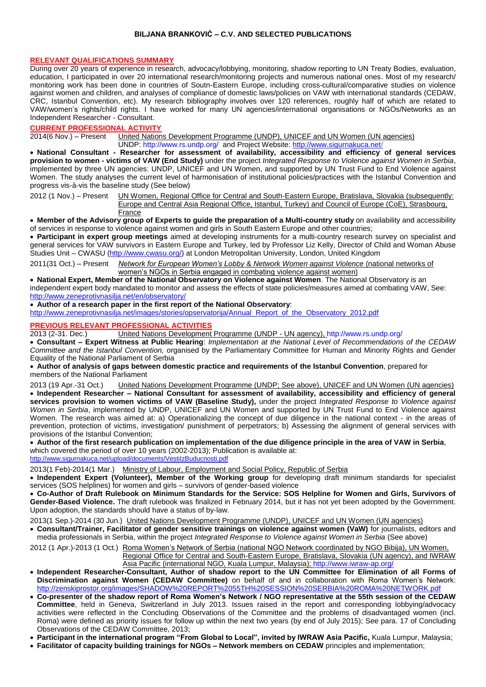#### **BILJANA BRANKOVIĆ – C.V. AND SELECTED PUBLICATIONS**

#### **RELEVANT QUALIFICATIONS SUMMARY**

During over 20 years of experience in research, advocacy/lobbying, monitoring, shadow reporting to UN Treaty Bodies, evaluation, education, I participated in over 20 international research/monitoring projects and numerous national ones. Most of my research/ monitoring work has been done in countries of Soutn-Eastern Europe, including cross-cultural/comparative studies on violence against women and children, and analyses of compliance of domestic laws/policies on VAW with international standards (CEDAW, CRC, Istanbul Convention, etc). My research bibliography involves over 120 references, roughly half of which are related to VAW/women's rights/child rights. I have worked for many UN agencies/international organisations or NGOs/Networks as an Independent Researcher - Consultant.

#### **CURRENT PROFESSIONAL ACTIVITY**

2014(6 Nov.) – Present United Nations Development Programme (UNDP), UNICEF and UN Women (UN agencies) UNDP: <http://www.rs.undp.org/> and Project Website[: http://www.sigurnakuca.net](http://www.sigurnakuca.net/)/

 **National Consultant - Researcher for assessment of availability, accessibility and efficiency of general services provision to women - victims of VAW (End Study)** under the project *Integrated Response to Violence against Women in Serbia*, implemented by three UN agencies: UNDP, UNICEF and UN Women, and supported by UN Trust Fund to End Violence against Women. The study analyses the current level of harmonisation of institutional policies/practices with the Istanbul Convention and progress vis-à-vis the baseline study (See below)

2012 (1 Nov.) – Present UN Women, Regional Office for Central and South-Eastern Europe, Bratislava, Slovakia (subsequently: Europe and Central Asia Regional Office, Istanbul, Turkey) and Council of Europe (CoE), Strasbourg, **France** 

 **Member of the Advisory group of Experts to guide the preparation of a Multi-country study** on availability and accessibility of services in response to violence against women and girls in South Eastern Europe and other countries;

 **Participant in expert group meetings** aimed at developing instruments for a multi-country research survey on specialist and general services for VAW survivors in Eastern Europe and Turkey, led by Professor Liz Kelly, Director of Child and Woman Abuse Studies Unit – CWASU [\(http://www.cwasu.org/\)](http://www.cwasu.org/) at London Metropolitan University, London, United Kingdom

2011(31 Oct.) – Present *Network for European Women's Lobby* & *Network Women against Violence* (national networks of women's NGOs in Serbia engaged in combating violence against women)

 **National Expert, Member of the National Observatory on Violence against Women**. The National Observatory is an independent expert body mandated to monitor and assess the effects of state policies/measures aimed at combating VAW, See: <http://www.zeneprotivnasilja.net/en/observatory/>

**Author of a research paper in the first report of the National Observatory**:

[http://www.zeneprotivnasilja.net/images/stories/opservatorija/Annual\\_Report\\_of\\_the\\_Observatory\\_2012.pdf](http://www.zeneprotivnasilja.net/images/stories/opservatorija/Annual_Report_of_the_Observatory_2012.pdf)

## **PREVIOUS RELEVANT PROFESSIONAL ACTIVITIES**<br>2013 (2-31. Dec.) United Nations Development

United Nations Development Programme (UNDP - UN agency), http://www.rs.undp.org/

 **Consultant – Expert Witness at Public Hearing**: *Implementation at the National Level of Recommendations of the CEDAW Committee and the Istanbul Convention,* organised by the Parliamentary Committee for Human and Minority Rights and Gender Equality of the National Parliament of Serbia

 **Author of analysis of gaps between domestic practice and requirements of the Istanbul Convention**, prepared for members of the National Parliament

2013 (19 Apr.-31 Oct.) United Nations Development Programme (UNDP; See above), UNICEF and UN Women (UN agencies) **Independent Researcher – National Consultant for assessment of availability, accessibility and efficiency of general services provision to women victims of VAW (Baseline Study),** under the project *Integrated Response to Violence against Women in Serbia*, implemented by UNDP, UNICEF and UN Women and supported by UN Trust Fund to End Violence against Women. The research was aimed at: a) Operationalizing the concept of due diligence in the national context - in the areas of prevention, protection of victims, investigation/ punishment of perpetrators; b) Assessing the alignment of general services with provisions of the Istanbul Convention;

 **Author of the first research publication on implementation of the due diligence principle in the area of VAW in Serbia**, which covered the period of over 10 years (2002-2013); Publication is available at:

http://www.sigurnakuca.net/upload/documents/VestilzBuducnosti.pdf

2013(1 Feb)-2014(1 Mar.) Ministry of Labour, Employment and Social Policy, Republic of Serbia

 **Independent Expert (Volunteer), Member of the Working group** for developing draft minimum standards for specialist services (SOS helplines) for women and girls – survivors of gender-based violence

 **Co-Author of Draft Rulebook on Minimum Standards for the Service: SOS Helpline for Women and Girls, Survivors of Gender-Based Violence.** The draft rulebook was finalized in February 2014, but it has not yet been adopted by the Government. Upon adoption, the standards should have a status of by-law.

2013(1 Sep.)-2014 (30 Jun.)United Nations Development Programme (UNDP), UNICEF and UN Women (UN agencies)

 **Consultant/Trainer, Facilitator of gender sensitive trainings on violence against women (VaW)** for journalists, editors and media professionals in Serbia, within the project *Integrated Response to Violence against Women in Serbia* (See above)

2012 (1 Apr.)-2013 (1 Oct.) Roma Women's Network of Serbia (national NGO Network coordinated by NGO Bibija), UN Women, Regional Office for Central and South-Eastern Europe, Bratislava, Slovakia (UN agency), and IWRAW

- Asia Pacific (international NGO, Kuala Lumpur, Malaysia);<http://www.iwraw-ap.org/> **Independent Researcher-Consultant, Author of shadow report to the UN Committee for Elimination of all Forms of**
- **Discrimination against Women (CEDAW Committee)** on behalf of and in collaboration with Roma Women's Network: <http://zenskiprostor.org/images/SHADOW%20REPORT%2055TH%20SESSION%20SERBIA%20ROMA%20NETWORK.pdf>
- **Co-presenter of the shadow report of Roma Women's Network / NGO representative at the 55th session of the CEDAW Committee**, held in Geneva, Switzerland in July 2013. Issues raised in the report and corresponding lobbying/advocacy activities were reflected in the Concluding Observations of the Committee and the problems of disadvantaged women (incl. Roma) were defined as priority issues for follow up within the next two years (by end of July 2015); See para. 17 of Concluding Observations of the CEDAW Committee, 2013;
- **Participant in the international program "From Global to Local", invited by IWRAW Asia Pacific,** Kuala Lumpur, Malaysia;
- **Facilitator of capacity building trainings for NGOs – Network members on CEDAW** principles and implementation;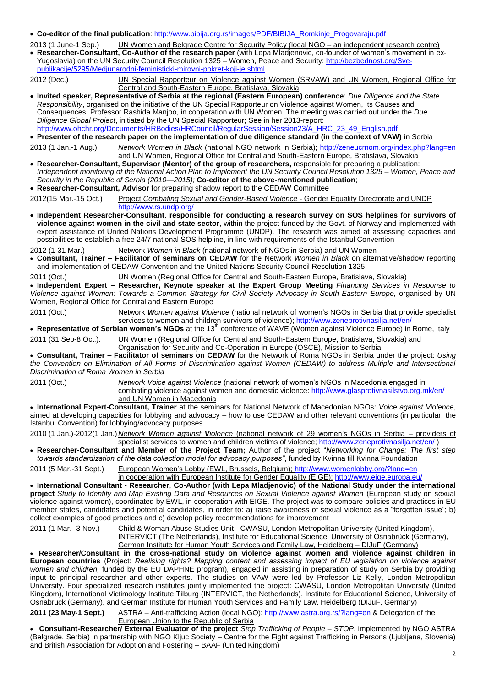#### **Co-editor of the final publication**: [http://www.bibija.org.rs/images/PDF/BIBIJA\\_Romkinje\\_Progovaraju.pdf](http://www.bibija.org.rs/images/PDF/BIBIJA_Romkinje_Progovaraju.pdf)

2013 (1 June-1 Sep.) UN Women and Belgrade Centre for Security Policy (local NGO – an independent research centre) **Researcher-Consultant, Co-Author of the research paper** (with Lepa Mladjenovic, co-founder of women's movement in ex-Yugoslavia) on the UN Security Council Resolution 1325 – Women, Peace and Security: [http://bezbednost.org/Sve](http://bezbednost.org/Sve-publikacije/5295/Medjunarodni-feministicki-mirovni-pokret-koji-je.shtml)[publikacije/5295/Medjunarodni-feministicki-mirovni-pokret-koji-je.shtml](http://bezbednost.org/Sve-publikacije/5295/Medjunarodni-feministicki-mirovni-pokret-koji-je.shtml)

2012 (Dec.) UN Special Rapporteur on Violence against Women (SRVAW) and UN Women, Regional Office for Central and South-Eastern Europe, Bratislava, Slovakia **Invited speaker, Representative of Serbia at the regional (Eastern European) conference**: *Due Diligence and the State Responsibility*, organised on the initiative of the UN Special Rapporteur on Violence against Women, Its Causes and Consequences, Professor Rashida Manjoo, in cooperation with UN Women. The meeting was carried out under the *Due Diligence Global Project*, initiated by the UN Special Rapporteur; See in her 2013-report: [http://www.ohchr.org/Documents/HRBodies/HRCouncil/RegularSession/Session23/A\\_HRC\\_23\\_49\\_English.pdf](http://www.ohchr.org/Documents/HRBodies/HRCouncil/RegularSession/Session23/A_HRC_23_49_English.pdf) **Presenter of the research paper on the implementation of due diligence standard (in the context of VAW)** in Serbia 2013 (1 Jan.-1 Aug.) *Network Women in Black* (national NGO network in Serbia);<http://zeneucrnom.org/index.php?lang=en> and UN Women, Regional Office for Central and South-Eastern Europe, Bratislava, Slovakia **Researcher-Consultant, Supervisor (Mentor) of the group of researchers,** responsible for preparing a publication: *Independent monitoring of the National Action Plan to Implement the UN Security Council Resolution 1325 – Women, Peace and Security in the Republic of Serbia (2010—2015);* **Co-editor of the above-mentioned publication**; **Researcher-Consultant, Advisor** for preparing shadow report to the CEDAW Committee 2012(15 Mar.-15 Oct.) Project *Combating Sexual and Gender-Based Violence -* Gender Equality Directorate and UNDP <http://www.rs.undp.org/> **Independent Researcher-Consultant**, **responsible for conducting a research survey on SOS helplines for survivors of violence against women in the civil and state sector**, within the project funded by the Govt. of Norway and implemented with expert assistance of United Nations Development Programme (UNDP). The research was aimed at assessing capacities and possibilities to establish a free 24/7 national SOS helpline, in line with requirements of the Istanbul Convention 2012 (1-31 Mar.) Network *Women in Black* (national network of NGOs in Serbia) and UN Women **Consultant, Trainer – Facilitator of seminars on CEDAW** for the Network *Women in Black* on alternative/shadow reporting and implementation of CEDAW Convention and the United Nations Security Council Resolution 1325 2011 (Oct.) UN Women (Regional Office for Central and South-Eastern Europe, Bratislava, Slovakia) **Independent Expert – Researcher, Keynote speaker at the Expert Group Meeting** *Financing Services in Response to Violence against Women: Towards a Common Strategy for Civil Society Advocacy in South-Eastern Europe,* organised by UN Women, Regional Office for Central and Eastern Europe 2011 (Oct.) Network *Women against Violence* (national network of women's NGOs in Serbia that provide specialist services to women and children survivors of violence);<http://www.zeneprotivnasilja.net/en/> **Representative of Serbian women's NGOs** at the 13th conference of WAVE (Women against Violence Europe) in Rome, Italy 2011 (31 Sep-8 Oct.). UN Women (Regional Office for Central and South-Eastern Europe, Bratislava, Slovakia) and Organisation for Security and Co-Operation in Europe (OSCE), Mission to Serbia **Consultant, Trainer – Facilitator of seminars on CEDAW** for the Network of Roma NGOs in Serbia under the project: *Using the Convention on Elimination of All Forms of Discrimination against Women (CEDAW) to address Multiple and Intersectional Discrimination of Roma Women in Serbia* 2011 (Oct.) *Network Voice against Violence* (national network of women's NGOs in Macedonia engaged in combating violence against women and domestic violence[: http://www.glasprotivnasilstvo.org.mk/en/](http://www.glasprotivnasilstvo.org.mk/en/) and UN Women in Macedonia

 **International Expert-Consultant, Trainer** at the seminars for National Network of Macedonian NGOs: *Voice against Violence*, aimed at developing capacities for lobbying and advocacy – how to use CEDAW and other relevant conventions (in particular, the Istanbul Convention) for lobbying/advocacy purposes

2010 (1 Jan.)-2012(1 Jan.) *Network Women against Violence* (national network of 29 women's NGOs in Serbia – providers of specialist services to women and children victims of violence;<http://www.zeneprotivnasilja.net/en/> )

 **Researcher-Consultant and Member of the Project Team;** Author of the project "*Networking for Change: The first step towards standardization of the data collection model for advocacy purposes"*, funded by Kvinna till Kvinna Foundation

2011 (5 Mar.-31 Sept.) European Women's Lobby (EWL, Brussels, Belgium);<http://www.womenlobby.org/?lang=en> in cooperation with European Institute for Gender Equality (EIGE); <http://www.eige.europa.eu/>

 **International Consultant - Researcher**, **Co-Author (with Lepa Mladjenovic) of the National Study under the international project** *Study to Identify and Map Existing Data and Resources on Sexual Violence against Women* (European study on sexual violence against women), coordinated by EWL, in cooperation with EIGE. The project was to compare policies and practices in EU member states, candidates and potential candidates, in order to: a) raise awareness of sexual violence as a "forgotten issue"; b) collect examples of good practices and c) develop policy recommendations for improvement

German Institute for Human Youth Services and Family Law, Heidelberg – DIJuF (Germany)

 **Researcher/Consultant in the cross-national study on violence against women and violence against children in European countries** (Project: *Realising rights? Mapping content and assessing impact of EU legislation on violence against women and children,* funded by the EU DAPHNE program), engaged in assisting in preparation of study on Serbia by providing input to principal researcher and other experts. The studies on VAW were led by Professor Liz Kelly, London Metropolitan University. Four specialized research institutes jointly implemented the project: CWASU, London Metropolitan University (United Kingdom), International Victimology Institute Tilburg (INTERVICT, the Netherlands), Institute for Educational Science, University of Osnabrück (Germany), and German Institute for Human Youth Services and Family Law, Heidelberg (DIJuF, Germany)

**2011 (23 May-1 Sept.)** ASTRA – Anti-trafficking Action (local NGO)[; http://www.astra.org.rs/?lang=en](http://www.astra.org.rs/?lang=en) & Delegation of the European Union to the Republic of Serbia

 **Consultant-Researcher/ External Evaluator of the project** *Stop Trafficking of People – STOP*, implemented by NGO ASTRA (Belgrade, Serbia) in partnership with NGO Kljuc Society – Centre for the Fight against Trafficking in Persons (Ljubljana, Slovenia) and British Association for Adoption and Fostering – BAAF (United Kingdom)

<sup>2011 (1</sup> Mar.- 3 Nov.) Child & Woman Abuse Studies Unit - CWASU, London Metropolitan University (United Kingdom), INTERVICT (The Netherlands), Institute for Educational Science, University of Osnabrück (Germany),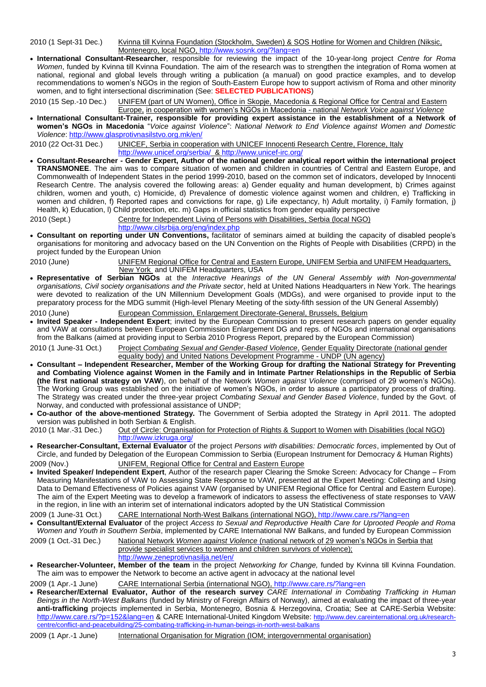2010 (1 Sept-31 Dec.) Kvinna till Kvinna Foundation (Stockholm, Sweden) & SOS Hotline for Women and Children (Niksic, Montenegro, local NGO,<http://www.sosnk.org/?lang=en>

 **International Consultant-Researcher**, responsible for reviewing the impact of the 10-year-long project *Centre for Roma Women*, funded by Kvinna till Kvinna Foundation. The aim of the research was to strengthen the integration of Roma women at national, regional and global levels through writing a publication (a manual) on good practice examples, and to develop recommendations to women's NGOs in the region of South-Eastern Europe how to support activism of Roma and other minority women, and to fight intersectional discrimination (See: **SELECTED PUBLICATIONS**)

2010 (15 Sep.-10 Dec.) UNIFEM (part of UN Women), Office in Skopje, Macedonia & Regional Office for Central and Eastern Europe, in cooperation with women's NGOs in Macedonia - national *Network Voice against Violence*

 **International Consultant-Trainer, responsible for providing expert assistance in the establishment of a Network of women's NGOs in Macedonia** "*Voice against Violence*": *National Network to End Violence against Women and Domestic Violence*:<http://www.glasprotivnasilstvo.org.mk/en/>

2010 (22 Oct-31 Dec.) UNICEF, Serbia in cooperation with UNICEF Innocenti Research Centre, Florence, Italy <http://www.unicef.org/serbia/>&<http://www.unicef-irc.org/>

 **Consultant-Researcher - Gender Expert, Author of the national gender analytical report within the international project TRANSMONEE**. The aim was to compare situation of women and children in countries of Central and Eastern Europe, and Commonwealth of Independent States in the period 1999-2010, based on the common set of indicators, developed by Innocenti Research Centre. The analysis covered the following areas: a) Gender equality and human development, b) Crimes against children, women and youth, c) Homicide, d) Prevalence of domestic violence against women and children, e) Trafficking in women and children, f) Reported rapes and convictions for rape, g) Life expectancy, h) Adult mortality, i) Family formation, j) Health, k) Education, l) Child protection, etc. m) Gaps in official statistics from gender equality perspective

2010 (Sept.) Centre for Independent Living of Persons with Disabilities, Serbia (local NGO)

<http://www.cilsrbija.org/eng/index.php>

 **Consultant on reporting under UN Conventions,** facilitator of seminars aimed at building the capacity of disabled people's organisations for monitoring and advocacy based on the UN Convention on the Rights of People with Disabilities (CRPD) in the project funded by the European Union

2010 (June) UNIFEM Regional Office for Central and Eastern Europe, UNIFEM Serbia and UNIFEM Headquarters, New York and UNIFEM Headquarters, USA

- **Representative of Serbian NGOs** at the *Interactive Hearings of the UN General Assembly with Non-governmental organisations, Civil society organisations and the Private sector*, held at United Nations Headquarters in New York. The hearings were devoted to realization of the UN Millennium Development Goals (MDGs), and were organised to provide input to the preparatory process for the MDG summit (High-level Plenary Meeting of the sixty-fifth session of the UN General Assembly)
- 2010 (June) European Commission, Enlargement Directorate-General, Brussels, Belgium
- **Invited Speaker - Independent Expert**; invited by the European Commission to present research papers on gender equality and VAW at consultations between European Commission Enlargement DG and reps. of NGOs and international organisations from the Balkans (aimed at providing input to Serbia 2010 Progress Report, prepared by the European Commission)

2010 (1 June-31 Oct.) Project *Combating Sexual and Gender-Based Violence*, Gender Equality Directorate (national gender equality body) and United Nations Development Programme - UNDP (UN agency)

- **Consultant – Independent Researcher, Member of the Working Group for drafting the National Strategy for Preventing and Combating Violence against Women in the Family and in Intimate Partner Relationships in the Republic of Serbia (the first national strategy on VAW**), on behalf of the Network *Women against Violence* (comprised of 29 women's NGOs). The Working Group was established on the initiative of women's NGOs, in order to assure a participatory process of drafting. The Strategy was created under the three-year project *Combating Sexual and Gender Based Violence*, funded by the Govt. of Norway, and conducted with professional assistance of UNDP;
- **Co-author of the above-mentioned Strategy.** The Government of Serbia adopted the Strategy in April 2011. The adopted version was published in both Serbian & English.

2010 (1 Mar.-31 Dec.) Out of Circle: Organisation for Protection of Rights & Support to Women with Disabilities (local NGO) <http://www.izkruga.org/>

- **Researcher-Consultant, External Evaluator** of the project *Persons with disabilities: Democratic forces*, implemented by Out of Circle, and funded by Delegation of the European Commission to Serbia (European Instrument for Democracy & Human Rights) 2009 (Nov.) UNIFEM, Regional Office for Central and Eastern Europe
- **Invited Speaker/ Independent Expert**, Author of the research paper Clearing the Smoke Screen: Advocacy for Change From Measuring Manifestations of VAW to Assessing State Response to VAW, presented at the Expert Meeting: Collecting and Using Data to Demand Effectiveness of Policies against VAW (organised by UNIFEM Regional Office for Central and Eastern Europe). The aim of the Expert Meeting was to develop a framework of indicators to assess the effectiveness of state responses to VAW in the region, in line with an interim set of international indicators adopted by the UN Statistical Commission
- 2009 (1 June-31 Oct.) CARE International North-West Balkans (international NGO),<http://www.care.rs/?lang=en>

 **Consultant/External Evaluator** of the project *Access to Sexual and Reproductive Health Care for Uprooted People and Roma Women and Youth in Southern Serbia*, implemented by CARE International NW Balkans, and funded by European Commission 2009 (1 Oct.-31 Dec.) National Network *Women against Violence* (national network of 29 women's NGOs in Serbia that

- provide specialist services to women and children survivors of violence); <http://www.zeneprotivnasilja.net/en/>
- **Researcher-Volunteer, Member of the team** in the project *Networking for Change,* funded by Kvinna till Kvinna Foundation. The aim was to empower the Network to become an active agent in advocacy at the national level

2009 (1 Apr.-1 June) CARE International Serbia (international NGO),<http://www.care.rs/?lang=en>

 **Researcher/External Evaluator, Author of the research survey** *CARE International in Combating Trafficking in Human Beings in the North-West Balkans* (funded by Ministry of Foreign Affairs of Norway), aimed at evaluating the impact of three-year **anti-trafficking** projects implemented in Serbia, Montenegro, Bosnia & Herzegovina, Croatia; See at CARE-Serbia Website: <http://www.care.rs/?p=152&lang=en> & CARE International-United Kingdom Website: [http://www.dev.careinternational.org.uk/research](http://www.dev.careinternational.org.uk/research-centre/conflict-and-peacebuilding/25-combating-trafficking-in-human-beings-in-north-west-balkans)[centre/conflict-and-peacebuilding/25-combating-trafficking-in-human-beings-in-north-west-balkans](http://www.dev.careinternational.org.uk/research-centre/conflict-and-peacebuilding/25-combating-trafficking-in-human-beings-in-north-west-balkans)

2009 (1 Apr.-1 June) International Organisation for Migration (IOM; intergovernmental organisation)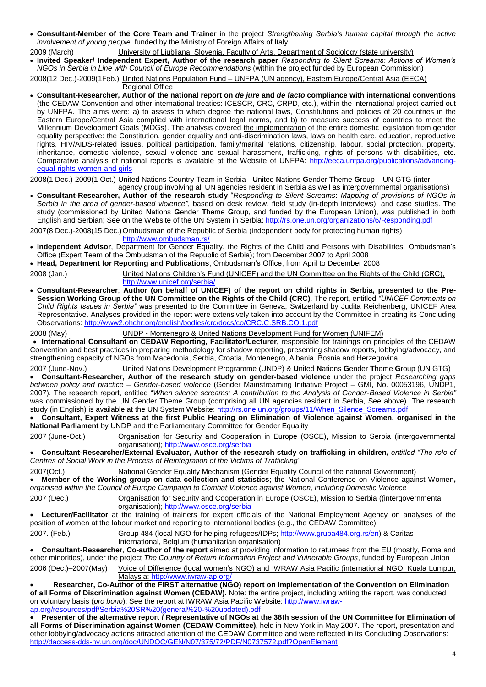- **Consultant-Member of the Core Team and Trainer** in the project *Strengthening Serbia's human capital through the active involvement of young people,* funded by the Ministry of Foreign Affairs of Italy
- 2009 (March) University of Ljubljana, Slovenia, Faculty of Arts, Department of Sociology (state university)
- **Invited Speaker/ Independent Expert, Author of the research paper** *Responding to Silent Screams: Actions of Women's NGOs in Serbia in Line with Council of Europe Recommendations* (within the project funded by European Commission)

2008(12 Dec.)-2009(1Feb.) United Nations Population Fund – UNFPA (UN agency), Eastern Europe/Central Asia (EECA)

Regional Office

 **Consultant-Researcher, Author of the national report on** *de jure* **and** *de facto* **compliance with international conventions** (the CEDAW Convention and other international treaties: ICESCR, CRC, CRPD, etc.), within the international project carried out by UNFPA. The aims were: a) to assess to which degree the national laws, Constitutions and policies of 20 countries in the Eastern Europe/Central Asia complied with international legal norms, and b) to measure success of countries to meet the Millennium Development Goals (MDGs). The analysis covered the implementation of the entire domestic legislation from gender equality perspective: the Constitution, gender equality and anti-discrimination laws, laws on health care, education, reproductive rights, HIV/AIDS-related issues, political participation, family/marital relations, citizenship, labour, social protection, property, inheritance, domestic violence, sexual violence and sexual harassment, trafficking, rights of persons with disabilities, etc. Comparative analysis of national reports is available at the Website of UNFPA: [http://eeca.unfpa.org/publications/advancing](http://eeca.unfpa.org/publications/advancing-equal-rights-women-and-girls)[equal-rights-women-and-girls](http://eeca.unfpa.org/publications/advancing-equal-rights-women-and-girls)

2008(1 Dec.)-2009(1 Oct.) United Nations Country Team in Serbia - **U**nited **N**ations **G**ender **T**heme **G**roup – UN GTG (inter-

agency group involving all UN agencies resident in Serbia as well as intergovernmental organisations) **Consultant-Researcher, Author of the research study** "*Responding to Silent Screams*: *Mapping of provisions of NGOs in Serbia in the area of gender-based violence"*, based on desk review, field study (in-depth interviews), and case studies. The study (commissioned by **U**nited **N**ations **G**ender **T**heme **G**roup, and funded by the European Union), was published in both English and Serbian; See on the Website of the UN System in Serbia[: http://rs.one.un.org/organizations/6/Responding.pdf](http://rs.one.un.org/organizations/6/Responding.pdf)

2007(8 Dec.)-2008(15 Dec.) Ombudsman of the Republic of Serbia (independent body for protecting human rights) <http://www.ombudsman.rs/>

- **Independent Advisor**, Department for Gender Equality, the Rights of the Child and Persons with Disabilities, Ombudsman's Office (Expert Team of the Ombudsman of the Republic of Serbia); from December 2007 to April 2008
- **Head, Department for Reporting and Publications**, Ombudsman's Office, from April to December 2008

2008 (Jan.) United Nations Children's Fund (UNICEF) and the UN Committee on the Rights of the Child (CRC), http://www.unicef.org/serbia

- **Consultant-Researcher**; **Author (on behalf of UNICEF) of the report on child rights in Serbia, presented to the Pre-Session Working Group of the UN Committee on the Rights of the Child (CRC)**. The report, entitled *"UNICEF Comments on Child Rights Issues in Serbia"* was presented to the Committee in Geneva, Switzerland by Judita Reichenberg, UNICEF Area Representative. Analyses provided in the report were extensively taken into account by the Committee in creating its Concluding Observations[: http://www2.ohchr.org/english/bodies/crc/docs/co/CRC.C.SRB.CO.1.pdf](http://www2.ohchr.org/english/bodies/crc/docs/co/CRC.C.SRB.CO.1.pdf)
- 2008 (May) UNDP Montenegro & United Nations Development Fund for Women (UNIFEM)

 **International Consultant on CEDAW Reporting, Facilitator/Lecturer,** responsible for trainings on principles of the CEDAW Convention and best practices in preparing methodology for shadow reporting, presenting shadow reports, lobbying/advocacy, and strengthening capacity of NGOs from Macedonia, Serbia, Croatia, Montenegro, Albania, Bosnia and Herzegovina

2007 (June-Nov.) United Nations Development Programme (UNDP) & **U**nited **N**ations **G**ender **T**heme **G**roup (UN GTG) **Consultant-Researcher, Author of the research study on gender-based violence** under the project *Researching gaps between policy and practice – Gender-based violence* (Gender Mainstreaming Initiative Project – GMI, No. 00053196, UNDP1, 2007). The research report, entitled "*When silence screams: A contribution to the Analysis of Gender-Based Violence in Serbia"*  was commissioned by the UN Gender Theme Group (comprising all UN agencies resident in Serbia, See above). The research study (in English) is available at the UN System Website: [http://rs.one.un.org/groups/11/When\\_Silence\\_Screams.pdf](http://rs.one.un.org/groups/11/When_Silence_Screams.pdf)

 **Consultant, Expert Witness at the first Public Hearing on Elimination of Violence against Women, organised in the National Parliament** by UNDP and the Parliamentary Committee for Gender Equality

2007 (June-Oct.) Organisation for Security and Cooperation in Europe (OSCE), Mission to Serbia (intergovernmental organisation); <http://www.osce.org/serbia>

 **Consultant-Researcher/External Evaluator, Author of the research study on trafficking in children***, entitled "The role of Centres of Social Work in the Process of Reintegration of the Victims of Trafficking*"

National Gender Equality Mechanism (Gender Equality Council of the national Government) **Member of the Working group on data collection and statistics**; the National Conference on Violence against Women**,**  *organised within the Council of Europe Campaign to Combat Violence against Women, including Domestic Violence*

2007 (Dec.) Organisation for Security and Cooperation in Europe (OSCE), Mission to Serbia ((intergovernmental organisation);<http://www.osce.org/serbia>

 **Lecturer/Facilitator** at the training of trainers for expert officials of the National Employment Agency on analyses of the position of women at the labour market and reporting to international bodies (e.g., the CEDAW Committee)

2007. (Feb.) Group 484 (local NGO for helping refugees/IDPs[; http://www.grupa484.org.rs/en\)](http://www.grupa484.org.rs/en) & Caritas

International, Belgium (humanitarian organisation)

 **Consultant-Researcher**, **Co-author of the report** aimed at providing information to returnees from the EU (mostly, Roma and other minorities), under the project *The Country of Return Information Project and Vulnerable Groups*, funded by European Union

2006 (Dec.)–2007(May) Voice of Difference (local women's NGO) and IWRAW Asia Pacific (international NGO; Kuala Lumpur, Malaysia:<http://www.iwraw-ap.org/>

 **Researcher, Co-Author of the FIRST alternative (NGO) report on implementation of the Convention on Elimination of all Forms of Discrimination against Women (CEDAW).** Note: the entire project, including writing the report, was conducted on voluntary basis (*pro bono*); See the report at IWRAW Asia Pacific Website: [http://www.iwraw](http://www.iwraw-ap.org/resources/pdf/Serbia%20SR%20(general%20-%20updated).pdf)[ap.org/resources/pdf/Serbia%20SR%20\(general%20-%20updated\).pdf](http://www.iwraw-ap.org/resources/pdf/Serbia%20SR%20(general%20-%20updated).pdf)

 **Presenter of the alternative report / Representative of NGOs at the 38th session of the UN Committee for Elimination of all Forms of Discrimination against Women (CEDAW Committee)**, held in New York in May 2007. The report, presentation and other lobbying/advocacy actions attracted attention of the CEDAW Committee and were reflected in its Concluding Observations: <http://daccess-dds-ny.un.org/doc/UNDOC/GEN/N07/375/72/PDF/N0737572.pdf?OpenElement>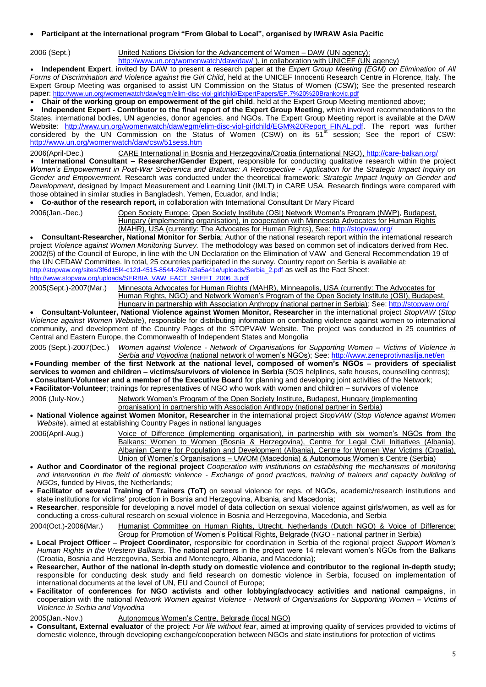#### **Participant at the international program "From Global to Local", organised by IWRAW Asia Pacific**

2006 (Sept.) United Nations Division for the Advancement of Women – DAW (UN agency);

<http://www.un.org/womenwatch/daw/daw/>), in collaboration with UNICEF (UN agency)

 **Independent Expert**, invited by DAW to present a research paper at the *Expert Group Meeting (EGM) on Elimination of All Forms of Discrimination and Violence against the Girl Child*, held at the UNICEF Innocenti Research Centre in Florence, Italy. The Expert Group Meeting was organised to assist UN Commission on the Status of Women (CSW); See the presented research paper: <http://www.un.org/womenwatch/daw/egm/elim-disc-viol-girlchild/ExpertPapers/EP.7%20%20Brankovic.pdf>

**Chair of the working group on empowerment of the girl child**, held at the Expert Group Meeting mentioned above;

 **Independent Expert - Contributor to the final report of the Expert Group Meeting**, which involved recommendations to the States, international bodies, UN agencies, donor agencies, and NGOs. The Expert Group Meeting report is available at the DAW Website: [http://www.un.org/womenwatch/daw/egm/elim-disc-viol-girlchild/EGM%20Report\\_FINAL.pdf.](http://www.un.org/womenwatch/daw/egm/elim-disc-viol-girlchild/EGM%20Report_FINAL.pdf) The report was further considered by the UN Commission on the Status of Women (CSW) on its 51<sup>st</sup> session; See the report of CSW: <http://www.un.org/womenwatch/daw/csw/51sess.htm>

2006(April-Dec.) CARE International in Bosnia and Herzegovina/Croatia (international NGO),<http://care-balkan.org/>

 **International Consultant – Researcher/Gender Expert**, responsible for conducting qualitative research within the project *Women's Empowerment in Post-War Srebrenica and Bratunac: A Retrospective - Application for the Strategic Impact Inquiry on Gender and Empowerment.* Research was conducted under the theoretical framework: *Strategic Impact Inquiry on Gender and Development*, designed by Impact Measurement and Learning Unit (IMLT) in CARE USA. Research findings were compared with those obtained in similar studies in Bangladesh, Yemen, Ecuador, and India;

**Co-author of the research report,** in collaboration with International Consultant Dr Mary Picard

2006(Jan.-Dec.) Open Society Europe: Open Society Institute (OSI) Network Women's Program (NWP), Budapest, Hungary (implementing organisation), in cooperation with Minnesota Advocates for Human Rights (MAHR), USA (currently: The Advocates for Human Rights), See[: http://stopvaw.org/](http://stopvaw.org/)

 **Consultant-Researcher, National Monitor for Serbia**; Author of the national research report within the international research project *Violence against Women Monitoring Survey.* The methodology was based on common set of indicators derived from Rec. 2002(5) of the Council of Europe, in line with the UN Declaration on the Elimination of VAW and General Recommendation 19 of the UN CEDAW Committee. In total, 25 countries participated in the survey. Country report on Serbia is available at: [http://stopvaw.org/sites/3f6d15f4-c12d-4515-8544-26b7a3a5a41e/uploads/Serbia\\_2.pdf](http://stopvaw.org/sites/3f6d15f4-c12d-4515-8544-26b7a3a5a41e/uploads/Serbia_2.pdf) as well as the Fact Sheet: [http://www.stopvaw.org/uploads/SERBIA\\_VAW\\_FACT\\_SHEET\\_2006\\_3.pdf](http://www.stopvaw.org/uploads/SERBIA_VAW_FACT_SHEET_2006_3.pdf)

2005(Sept.)-2007(Mar.) Minnesota Advocates for Human Rights (MAHR), Minneapolis, USA (currently: The Advocates for Human Rights, NGO) and Network Women's Program of the Open Society Institute (OSI), Budapest,

Hungary in partnership with Association Anthropy (national partner in Serbia); See[: http://stopvaw.org/](http://stopvaw.org/) **Consultant-Volunteer, National Violence against Women Monitor, Researcher** in the international project *StopVAW* (*Stop Violence against Women Website*), responsible for distributing information on combating violence against women to international community, and development of the Country Pages of the STOPVAW Website. The project was conducted in 25 countries of Central and Eastern Europe, the Commonwealth of Independent States and Mongolia

2005 (Sept.)-2007(Dec.) *Women against Violence - Network of Organisations for Supporting Women – Victims of Violence in Serbia and Vojvodina* (national network of women's NGOs); See:<http://www.zeneprotivnasilja.net/en>

 **Founding member of the first Network at the national level, composed of women's NGOs – providers of specialist** services to women and children – victims/survivors of violence in Serbia (SOS helplines, safe houses, counselling centres); **Consultant-Volunteer and a member of the Executive Board** for planning and developing joint activities of the Network; **Facilitator-Volunteer**; trainings for representatives of NGO who work with women and children – survivors of violence

2006 (July-Nov.) Network Women's Program of the Open Society Institute, Budapest, Hungary (implementing

organisation) in partnership with Association Anthropy (national partner in Serbia)

 **National Violence against Women Monitor, Researcher** in the international project *StopVAW* (*Stop Violence against Women Website*), aimed at establishing Country Pages in national languages

2006(April-Aug.) Voice of Difference (implementing organisation), in partnership with six women's NGOs from the Balkans: Women to Women (Bosnia & Herzegovina), Centre for Legal Civil Initiatives (Albania), Albanian Centre for Population and Development (Albania), Centre for Women War Victims (Croatia), Union of Women's Organisations – UWOM (Macedonia) & Autonomous Women's Centre (Serbia)

- **Author and Coordinator of the regional project** *Cooperation with institutions on establishing the mechanisms of monitoring and intervention in the field of domestic violence - Exchange of good practices, training of trainers and capacity building of NGOs*, funded by Hivos, the Netherlands;
- **Facilitator of several Training of Trainers (ToT)** on sexual violence for reps. of NGOs, academic/research institutions and state institutions for victims' protection in Bosnia and Herzegovina, Albania, and Macedonia;
- **Researcher**, responsible for developing a novel model of data collection on sexual violence against girls/women, as well as for conducting a cross-cultural research on sexual violence in Bosnia and Herzegovina, Macedonia, and Serbia

2004(Oct.)-2006(Mar.) Humanist Committee on Human Rights, Utrecht, Netherlands (Dutch NGO) & Voice of Difference: Group for Promotion of Women's Political Rights, Belgrade (NGO - national partner in Serbia)

- **Local Project Officer – Project Coordinator,** responsible for coordination in Serbia of the regional project *Support Women's Human Rights in the Western Balkans*. The national partners in the project were 14 relevant women's NGOs from the Balkans (Croatia, Bosnia and Herzegovina, Serbia and Montenegro, Albania, and Macedonia);
- **Researcher, Author of the national in-depth study on domestic violence and contributor to the regional in-depth study;** responsible for conducting desk study and field research on domestic violence in Serbia, focused on implementation of international documents at the level of UN, EU and Council of Europe;
- **Facilitator of conferences for NGO activists and other lobbying/advocacy activities and national campaigns**, in cooperation with the national *Network Women against Violence - Network of Organisations for Supporting Women – Victims of Violence in Serbia and Vojvodina*

2005(Jan.-Nov.) Autonomous Women's Centre, Belgrade (local NGO)

 **Consultant, External evaluator** of the project: *For life without fear*, aimed at improving quality of services provided to victims of domestic violence, through developing exchange/cooperation between NGOs and state institutions for protection of victims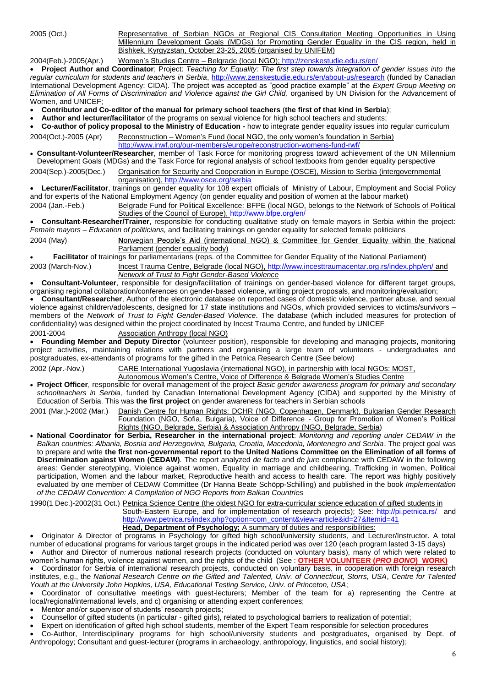2005 (Oct.) Representative of Serbian NGOs at Regional CIS Consultation Meeting Opportunities in Using Millennium Development Goals (MDGs) for Promoting Gender Equality in the CIS region, held in Bishkek, Kyrgyzstan, October 23-25, 2005 (organised by UNIFEM)

2004(Feb.)-2005(Apr.) Women's Studies Centre – Belgrade (local NGO)[; http://zenskestudie.edu.rs/en/](http://zenskestudie.edu.rs/en/)

 **Project Author and Coordinator**; Project: *Teaching for Equality: The first step towards integration of gender issues into the regular curriculum for students and teachers in Serbia*,<http://www.zenskestudie.edu.rs/en/about-us/research> (funded by Canadian International Development Agency: CIDA). The project was accepted as "good practice example" at the *Expert Group Meeting on Elimination of All Forms of Discrimination and Violence against the Girl Child,* organised by UN Division for the Advancement of Women, and UNICEF;

- **Contributor and Co-editor of the manual for primary school teachers** (**the first of that kind in Serbia**);
- **Author and lecturer/facilitator** of the programs on sexual violence for high school teachers and students;
- **Co-author of policy proposal to the Ministry of Education -** how to integrate gender equality issues into regular curriculum

2004(Oct.)-2005 (Apr) Reconstruction – Women's Fund (local NGO, the only women's foundation in Serbia)

<http://www.inwf.org/our-members/europe/reconstruction-womens-fund-rwf/> **Consultant-Volunteer/Researcher**, member of Task Force for monitoring progress toward achievement of the UN Millennium Development Goals (MDGs) and the Task Force for regional analysis of school textbooks from gender equality perspective

2004(Sep.)-2005(Dec.) Organisation for Security and Cooperation in Europe (OSCE), Mission to Serbia (intergovernmental organisation),<http://www.osce.org/serbia>

 **Lecturer/Facilitator**, trainings on gender equality for 108 expert officials of Ministry of Labour, Employment and Social Policy and for experts of the National Employment Agency (on gender equality and position of women at the labour market)

2004 (Jan.-Feb.) Belgrade Fund for Political Excellence: BFPE (local NGO, belongs to the Network of Schools of Political Studies of the Council of Europe),<http://www.bfpe.org/en/>

 **Consultant-Researcher/Trainer**, responsible for conducting qualitative study on female mayors in Serbia within the project: *Female mayors – Education of politicians,* and facilitating trainings on gender equality for selected female politicians

2004 (May) **N**orwegian **P**eople's **A**id (international NGO) & Committee for Gender Equality within the National Parliament (gender equality body)

**Facilitator** of trainings for parliamentarians (reps. of the Committee for Gender Equality of the National Parliament)

2003 (March-Nov.) Incest Trauma Centre, Belgrade (local NGO),<http://www.incesttraumacentar.org.rs/index.php/en/> and *Network of Trust to Fight Gender-Based Violence* 

 **Consultant-Volunteer**, responsible for design/facilitation of trainings on gender-based violence for different target groups, organising regional collaboration/conferences on gender-based violence, writing project proposals, and monitoring/evaluation; **Consultant/Researcher**, Author of the electronic database on reported cases of domestic violence, partner abuse, and sexual violence against children/adolescents, designed for 17 state institutions and NGOs, which provided services to victims/survivors – members of the *Network of Trust to Fight Gender-Based Violence*. The database (which included measures for protection of confidentiality) was designed within the project coordinated by Incest Trauma Centre, and funded by UNICEF

2001-2004 Association Anthropy (local NGO)

 **Founding Member and Deputy Director** (volunteer position), responsible for developing and managing projects, monitoring project activities, maintaining relations with partners and organising a large team of volunteers - undergraduates and postgraduates, ex-attendants of programs for the gifted in the Petnica Research Centre (See below)

2002 (Apr.-Nov.) CARE International Yugoslavia (international NGO), in partnership with local NGOs: MOST,

Autonomous Women's Centre, Voice of Difference & Belgrade Women's Studies Centre

 **Project Officer**, responsible for overall management of the project *Basic gender awareness program for primary and secondary schoolteachers in Serbia,* funded by Canadian International Development Agency (CIDA) and supported by the Ministry of Education of Serbia. This was **the first project** on gender awareness for teachers in Serbian schools

2001 (Mar.)-2002 (Mar.) Danish Centre for Human Rights: DCHR (NGO, Copenhagen, Denmark), Bulgarian Gender Research Foundation (NGO, Sofia, Bulgaria), Voice of Difference - Group for Promotion of Women's Political Rights (NGO, Belgrade, Serbia) & Association Anthropy (NGO, Belgrade, Serbia)

 **National Coordinator for Serbia, Researcher in the international project**: *Monitoring and reporting under CEDAW in the Balkan countries: Albania, Bosnia and Herzegovina, Bulgaria, Croatia, Macedonia, Montenegro and Serbia*. The project goal was to prepare and write **the first non-governmental report to the United Nations Committee on the Elimination of all forms of Discrimination against Women (CEDAW)***.* The report analyzed *de facto* and *de jure* compliance with CEDAW in the following areas: Gender stereotyping, Violence against women, Equality in marriage and childbearing, Trafficking in women, Political participation, Women and the labour market, Reproductive health and access to health care. The report was highly positively evaluated by one member of CEDAW Committee (Dr Hanna Beate Schöpp-Schilling) and published in the book *Implementation of the CEDAW Convention: A Compilation of NGO Reports from Balkan Countries*

1990(1 Dec.)-2002(31 Oct.) Petnica Science Centre (the oldest NGO for extra-curricular science education of gifted students in South-Eastern Europe, and for implementation of research projects); See:<http://pi.petnica.rs/>and [http://www.petnica.rs/index.php?option=com\\_content&view=article&id=27&Itemid=41](http://www.petnica.rs/index.php?option=com_content&view=article&id=27&Itemid=41)

**Head, Department of Psychology;** A summary of duties and responsibilities:

 Originator & Director of programs in Psychology for gifted high school/university students, and Lecturer/Instructor. A total number of educational programs for various target groups in the indicated period was over 120 (each program lasted 3-15 days) Author and Director of numerous national research projects (conducted on voluntary basis), many of which were related to

women's human rights, violence against women, and the rights of the child (See : **OTHER VOLUNTEER (***PRO BONO***) WORK)**

 Coordinator for Serbia of international research projects, conducted on voluntary basis, in cooperation with foreign research institutes, e.g., the *National Research Centre on the Gifted and Talented, Univ. of Connecticut, Storrs, USA*, *Centre for Talented Youth at the University John Hopkins, USA, Educational Testing Service, Univ. of Princeton, USA*;

 Coordinator of consultative meetings with guest-lecturers; Member of the team for a) representing the Centre at local/regional/international levels, and c) organising or attending expert conferences;

Mentor and/or supervisor of students' research projects;

Counsellor of gifted students (in particular - gifted girls), related to psychological barriers to realization of potential;

Expert on identification of gifted high school students, member of the Expert Team responsible for selection procedures

 Co-Author, Interdisciplinary programs for high school/university students and postgraduates, organised by Dept. of Anthropology; Consultant and guest-lecturer (programs in archaeology, anthropology, linguistics, and social history);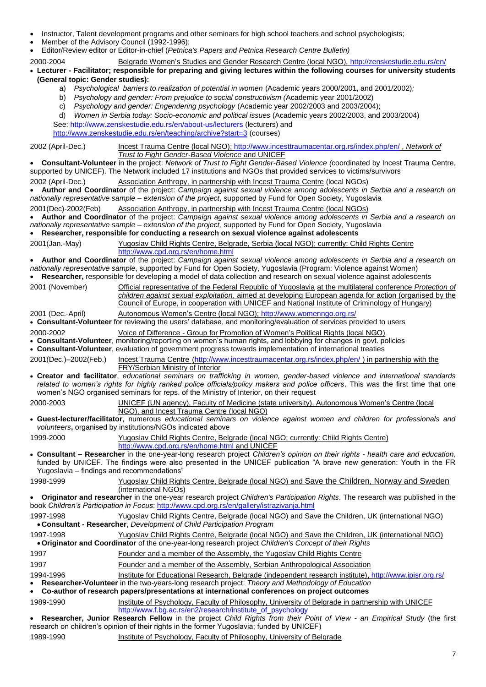- Instructor, Talent development programs and other seminars for high school teachers and school psychologists;
- Member of the Advisory Council (1992-1996);
- Editor/Review editor or Editor-in-chief (*Petnica's Papers and Petnica Research Centre Bulletin)*
- 2000-2004 Belgrade Women's Studies and Gender Research Centre (local NGO),<http://zenskestudie.edu.rs/en/>
- **Lecturer - Facilitator; responsible for preparing and giving lectures within the following courses for university students (General topic: Gender studies):** 
	- a) *Psychological barriers to realization of potential in women (Academic years 2000/2001, and 2001/2002)*;
	- b) *Psychology and gender: From prejudice to social constructivism (*Academic year 2001/2002)
	- c) *Psychology and gender: Engendering psychology* (Academic year 2002/2003 and 2003/2004);
	- d) Women in Serbia today: Socio-economic and political issues (Academic years 2002/2003, and 2003/2004)

See:<http://www.zenskestudie.edu.rs/en/about-us/lecturers> (lecturers) and

<http://www.zenskestudie.edu.rs/en/teaching/archive?start=3> (courses)

2002 (April-Dec.) Incest Trauma Centre (local NGO);<http://www.incesttraumacentar.org.rs/index.php/en/> , *Network of Trust to Fight Gender-Based Violence* and UNICEF

 **Consultant-Volunteer** in the project: *Network of Trust to Fight Gender-Based Violence (*coordinated by Incest Trauma Centre, supported by UNICEF). The Network included 17 institutions and NGOs that provided services to victims/survivors

2002 (April-Dec.) Association Anthropy, in partnership with Incest Trauma Centre (local NGOs)

 **Author and Coordinator** of the project: *Campaign against sexual violence among adolescents in Serbia and a research on nationally representative sample – extension of the project*, supported by Fund for Open Society, Yugoslavia

2001(Dec)-2002(Feb) Association Anthropy, in partnership with Incest Trauma Centre (local NGOs)

 **Author and Coordinator** of the project: *Campaign against sexual violence among adolescents in Serbia and a research on nationally representative sample – extension of the project,* supported by Fund for Open Society, Yugoslavia

**Researcher, responsible for conducting a research on sexual violence against adolescents**

2001(Jan.-May) Yugoslav Child Rights Centre, Belgrade, Serbia (local NGO); currently: Child Rights Centre <http://www.cpd.org.rs/en/home.html>

 **Author and Coordinator** of the project: *Campaign against sexual violence among adolescents in Serbia and a research on nationally representative sample*, supported by Fund for Open Society, Yugoslavia (Program: Violence against Women) **Researcher,** responsible for developing a model of data collection and research on sexual violence against adolescents

|                     | The extra is the property in the collection of the contract of active concertaint and concertainty and concertative and concertative and concertative and concertative and concertative and concertative and concertative and |
|---------------------|-------------------------------------------------------------------------------------------------------------------------------------------------------------------------------------------------------------------------------|
| 2001 (November)     | Official representative of the Federal Republic of Yugoslavia at the multilateral conference Protection of                                                                                                                    |
|                     | children against sexual exploitation, aimed at developing European agenda for action (organised by the                                                                                                                        |
|                     | Council of Europe, in cooperation with UNICEF and National Institute of Criminology of Hungary)                                                                                                                               |
| $2004/D_{22}$ Anill | $\Lambda$ utanomaug Waman'a Cantra (lagal NCO); http://www.wamannaa.org.ro/                                                                                                                                                   |

2001 (Dec.-April) Autonomous Women's Centre (local NGO);<http://www.womenngo.org.rs/>

**Consultant-Volunteer** for reviewing the users' database, and monitoring/evaluation of services provided to users

2000-2002 Voice of Difference - Group for Promotion of Women's Political Rights (local NGO)

**Consultant-Volunteer**, monitoring/reporting on women's human rights, and lobbying for changes in govt. policies

**Consultant-Volunteer**, evaluation of government progress towards implementation of international treaties

2001(Dec.)–2002(Feb.) Incest Trauma Centre [\(http://www.incesttraumacentar.org.rs/index.php/en/](http://www.incesttraumacentar.org.rs/index.php/en/) ) in partnership with the FRY/Serbian Ministry of Interior

 **Creator and facilitator**, *educational seminars on trafficking in women, gender-based violence and international standards related to women's rights for highly ranked police officials/policy makers and police officers*. This was the first time that one women's NGO organised seminars for reps. of the Ministry of Interior, on their request

2000-2003 UNICEF (UN agency), Faculty of Medicine (state university), Autonomous Women's Centre (local NGO), and Incest Trauma Centre (local NGO)

 **Guest-lecturer/facilitator**, numerous *educational seminars on violence against women and children for professionals and volunteers***,** organised by institutions/NGOs indicated above

1999-2000 Yugoslav Child Rights Centre, Belgrade (local NGO; currently: Child Rights Centre) <http://www.cpd.org.rs/en/home.html> and UNICEF

 **Consultant – Researcher** in the one-year-long research project *Children's opinion on their rights - health care and education,*  funded by UNICEF. The findings were also presented in the UNICEF publication "A brave new generation: Youth in the FR Yugoslavia – findings and recommendations"

1998-1999 Yugoslav Child Rights Centre, Belgrade (local NGO) and Save the Children, Norway and Sweden (international NGOs)

 **Originator and researcher** in the one-year research project *Children's Participation Rights*. The research was published in the book *Children's Participation in Focus*[: http://www.cpd.org.rs/en/gallery/istrazivanja.html](http://www.cpd.org.rs/en/gallery/istrazivanja.html)

1997-1998 Yugoslav Child Rights Centre, Belgrade (local NGO) and Save the Children, UK (international NGO) **Consultant - Researcher**, *Development of Child Participation Program*

1997-1998 Yugoslav Child Rights Centre, Belgrade (local NGO) and Save the Children, UK (international NGO) **Originator and Coordinator** of the one-year-long research project *Children's Concept of their Rights* 

### 1997 Founder and a member of the Assembly, the Yugoslav Child Rights Centre

- 1997 **Founder and a member of the Assembly, Serbian Anthropological Association**
- 1994-1996 Institute for Educational Research, Belgrade (independent research institute),<http://www.ipisr.org.rs/> **Researcher-Volunteer** in the two-years-long research project: *Theory and Methodology of Education*

**Co-author of research papers/presentations at international conferences on project outcomes**

1989-1990 Institute of Psychology, Faculty of Philosophy, University of Belgrade in partnership with UNICEF [http://www.f.bg.ac.rs/en2/research/institute\\_of\\_psychology](http://www.f.bg.ac.rs/en2/research/institute_of_psychology)

 **Researcher, Junior Research Fellow** in the project *Child Rights from their Point of View - an Empirical Study* (the first research on children's opinion of their rights in the former Yugoslavia; funded by UNICEF)

1989-1990 **Institute of Psychology, Faculty of Philosophy, University of Belgrade**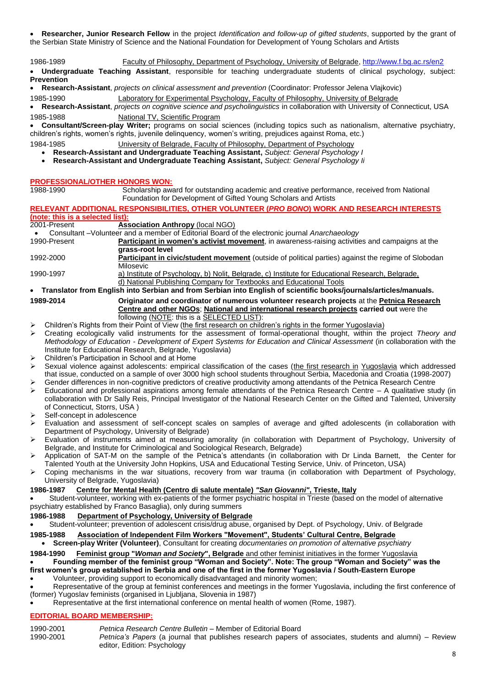**Researcher, Junior Research Fellow** in the project *Identification and follow-up of gifted students*, supported by the grant of the Serbian State Ministry of Science and the National Foundation for Development of Young Scholars and Artists

1986-1989 Faculty of Philosophy, Department of Psychology, University of Belgrade[, http://www.f.bg.ac.rs/en2](http://www.f.bg.ac.rs/en2)

 **Undergraduate Teaching Assistant**, responsible for teaching undergraduate students of clinical psychology, subject: **Prevention** 

**Research-Assistant**, *projects on clinical assessment and prevention* (Coordinator: Professor Jelena Vlajkovic)

1985-1990 Laboratory for Experimental Psychology, Faculty of Philosophy, University of Belgrade

 **Research-Assistant**, *projects on cognitive science and psycholinguistics* in collaboration with University of Connecticut, USA 1985-1988 National TV, Scientific Program

 **Consultant/Screen-play Writer;** programs on social sciences (including topics such as nationalism, alternative psychiatry, children's rights, women's rights, juvenile delinquency, women's writing, prejudices against Roma, etc.)

1984-1985 University of Belgrade, Faculty of Philosophy, Department of Psychology

**Research-Assistant and Undergraduate Teaching Assistant,** *Subject: General Psychology I*

**Research-Assistant and Undergraduate Teaching Assistant,** *Subject: General Psychology Ii*

# **PROFESSIONAL/OTHER HONORS WON:**<br>1988-1990 **Scholarship aw**

Scholarship award for outstanding academic and creative performance, received from National Foundation for Development of Gifted Young Scholars and Artists

## **RELEVANT ADDITIONAL RESPONSIBILITIES, OTHER VOLUNTEER (***PRO BONO***) WORK AND RESEARCH INTERESTS (note: this is a selected list):**

**Association Anthropy** (local NGO)

Consultant –Volunteer and a member of Editorial Board of the electronic journal *Anarchaeology*

- 1990-Present **Participant in women's activist movement**, in awareness-raising activities and campaigns at the **grass-root level**
- 1992-2000 **Participant in civic/student movement** (outside of political parties) against the regime of Slobodan Milosevic

1990-1997 a) Institute of Psychology, b) Nolit, Belgrade, c) Institute for Educational Research, Belgrade, d) National Publishing Company for Textbooks and Educational Tools

 **Translator from English into Serbian and from Serbian into English of scientific books/journals/articles/manuals. 1989-2014 Originator and coordinator of numerous volunteer research projects** at the **Petnica Research Centre and other NGOs**; **National and international research projects carried out** were the following (NOTE: this is a SELECTED LIST):

- Children's Rights from their Point of View (the first research on children's rights in the former Yugoslavia)
- Creating ecologically valid instruments for the assessment of formal-operational thought, within the project *Theory and Methodology of Education - Development of Expert Systems for Education and Clinical Assessment* (in collaboration with the Institute for Educational Research, Belgrade, Yugoslavia)

Children's Participation in School and at Home

- Sexual violence against adolescents: empirical classification of the cases (the first research in Yugoslavia which addressed that issue, conducted on a sample of over 3000 high school students throughout Serbia, Macedonia and Croatia (1998-2007) Gender differences in non-cognitive predictors of creative productivity among attendants of the Petnica Research Centre
- Educational and professional aspirations among female attendants of the Petnica Research Centre A qualitative study (in collaboration with Dr Sally Reis, Principal Investigator of the National Research Center on the Gifted and Talented, University of Connecticut, Storrs, USA )
- Self-concept in adolescence
- Evaluation and assessment of self-concept scales on samples of average and gifted adolescents (in collaboration with Department of Psychology, University of Belgrade)
- Evaluation of instruments aimed at measuring amorality (in collaboration with Department of Psychology, University of Belgrade, and Institute for Criminological and Sociological Research, Belgrade)
- Application of SAT-M on the sample of the Petnica's attendants (in collaboration with Dr Linda Barnett, the Center for Talented Youth at the University John Hopkins, USA and Educational Testing Service, Univ. of Princeton, USA)
- Coping mechanisms in the war situations, recovery from war trauma (in collaboration with Department of Psychology, University of Belgrade, Yugoslavia)

### **1986-1987 Centre for Mental Health (Centro di salute mentale)** *"San Giovanni"***, Trieste, Italy**

 Student-volunteer, working with ex-patients of the former psychiatric hospital in Trieste (based on the model of alternative psychiatry established by Franco Basaglia), only during summers

- **1986-1988 Department of Psychology, University of Belgrade**
- Student-volunteer; prevention of adolescent crisis/drug abuse, organised by Dept. of Psychology, Univ. of Belgrade

## **1985-1988 Association of Independent Film Workers "Movement", Students' Cultural Centre, Belgrade**

**Screen-play Writer (Volunteer)**, Consultant for creating *documentaries on promotion of alternative psychiatry*

## **1984-1990 Feminist group "***Woman and Society***", Belgrade** and other feminist initiatives in the former Yugoslavia **Founding member of the feminist group "Woman and Society". Note: The group "Woman and Society" was the**

**first women's group established in Serbia and one of the first in the former Yugoslavia / South-Eastern Europe**

Volunteer, providing support to economically disadvantaged and minority women;

 Representative of the group at feminist conferences and meetings in the former Yugoslavia, including the first conference of (former) Yugoslav feminists (organised in Ljubljana, Slovenia in 1987)

Representative at the first international conference on mental health of women (Rome, 1987).

## **EDITORIAL BOARD MEMBERSHIP:**

- 1990-2001 *Petnica Research Centre Bulletin* Member of Editorial Board
- 1990-2001 *Petnica's Papers* (a journal that publishes research papers of associates, students and alumni) Review editor, Edition: Psychology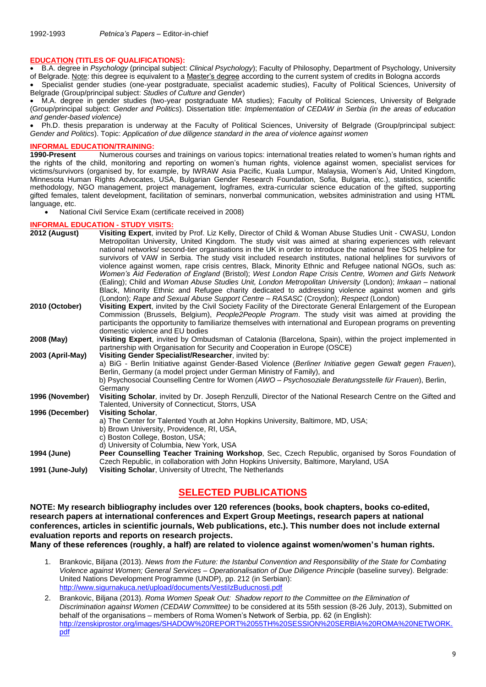### **EDUCATION (TITLES OF QUALIFICATIONS):**

 B.A. degree in *Psychology* (principal subject: *Clinical Psychology*); Faculty of Philosophy, Department of Psychology, University of Belgrade. Note: this degree is equivalent to a Master's degree according to the current system of credits in Bologna accords

 Specialist gender studies (one-year postgraduate, specialist academic studies), Faculty of Political Sciences, University of Belgrade (Group/principal subject: *Studies of Culture and Gender*)

 M.A. degree in gender studies (two-year postgraduate MA studies); Faculty of Political Sciences, University of Belgrade (Group/principal subject: *Gender and Politics*). Dissertation title: *Implementation of CEDAW in Serbia (in the areas of education and gender-based violence)*

 Ph.D. thesis preparation is underway at the Faculty of Political Sciences, University of Belgrade (Group/principal subject: *Gender and Politics*). Topic: *Application of due diligence standard in the area of violence against women*

## **INFORMAL EDUCATION/TRAINING:**<br>1990-Present Numerous cours

**1990-Present** Numerous courses and trainings on various topics: international treaties related to women's human rights and the rights of the child, monitoring and reporting on women's human rights, violence against women, specialist services for victims/survivors (organised by, for example, by IWRAW Asia Pacific, Kuala Lumpur, Malaysia, Women's Aid, United Kingdom, Minnesota Human Rights Advocates, USA, Bulgarian Gender Research Foundation, Sofia, Bulgaria, etc.), statistics, scientific methodology, NGO management, project management, logframes, extra-curricular science education of the gifted, supporting gifted females, talent development, facilitation of seminars, nonverbal communication, websites administration and using HTML language, etc.

• National Civil Service Exam (certificate received in 2008)

#### **INFORMAL EDUCATION - STUDY VISITS:**

|                  | <u>INI UNIMAL LUUCATION - STUDT VISITS.</u>                                                                                                                                                                                                                                                                                                                                                                                                                                                                                                                                                                                                                                                                                                                                                                                                                                                                                                                                                         |
|------------------|-----------------------------------------------------------------------------------------------------------------------------------------------------------------------------------------------------------------------------------------------------------------------------------------------------------------------------------------------------------------------------------------------------------------------------------------------------------------------------------------------------------------------------------------------------------------------------------------------------------------------------------------------------------------------------------------------------------------------------------------------------------------------------------------------------------------------------------------------------------------------------------------------------------------------------------------------------------------------------------------------------|
| 2012 (August)    | Visiting Expert, invited by Prof. Liz Kelly, Director of Child & Woman Abuse Studies Unit - CWASU, London<br>Metropolitan University, United Kingdom. The study visit was aimed at sharing experiences with relevant<br>national networks/ second-tier organisations in the UK in order to introduce the national free SOS helpline for<br>survivors of VAW in Serbia. The study visit included research institutes, national helplines for survivors of<br>violence against women, rape crisis centres, Black, Minority Ethnic and Refugee national NGOs, such as:<br>Women's Aid Federation of England (Bristol); West London Rape Crisis Centre, Women and Girls Network<br>(Ealing); Child and <i>Woman Abuse Studies Unit, London Metropolitan University</i> (London); <i>Imkaan</i> – national<br>Black, Minority Ethnic and Refugee charity dedicated to addressing violence against women and girls<br>(London); Rape and Sexual Abuse Support Centre - RASASC (Croydon); Respect (London) |
| 2010 (October)   | Visiting Expert, invited by the Civil Society Facility of the Directorate General Enlargement of the European<br>Commission (Brussels, Belgium), People2People Program. The study visit was aimed at providing the<br>participants the opportunity to familiarize themselves with international and European programs on preventing<br>domestic violence and EU bodies                                                                                                                                                                                                                                                                                                                                                                                                                                                                                                                                                                                                                              |
| 2008 (May)       | Visiting Expert, invited by Ombudsman of Catalonia (Barcelona, Spain), within the project implemented in<br>partnership with Organisation for Security and Cooperation in Europe (OSCE)                                                                                                                                                                                                                                                                                                                                                                                                                                                                                                                                                                                                                                                                                                                                                                                                             |
| 2003 (April-May) | Visiting Gender Specialist/Researcher, invited by:<br>a) BiG - Berlin Initiative against Gender-Based Violence (Berliner Initiative gegen Gewalt gegen Frauen),<br>Berlin, Germany (a model project under German Ministry of Family), and<br>b) Psychosocial Counselling Centre for Women (AWO - Psychosoziale Beratungsstelle für Frauen), Berlin,<br>Germany                                                                                                                                                                                                                                                                                                                                                                                                                                                                                                                                                                                                                                      |
| 1996 (November)  | Visiting Scholar, invited by Dr. Joseph Renzulli, Director of the National Research Centre on the Gifted and<br>Talented, University of Connecticut, Storrs, USA                                                                                                                                                                                                                                                                                                                                                                                                                                                                                                                                                                                                                                                                                                                                                                                                                                    |
| 1996 (December)  | <b>Visiting Scholar,</b><br>a) The Center for Talented Youth at John Hopkins University, Baltimore, MD, USA;<br>b) Brown University, Providence, RI, USA,<br>c) Boston College, Boston, USA;<br>d) University of Columbia, New York, USA                                                                                                                                                                                                                                                                                                                                                                                                                                                                                                                                                                                                                                                                                                                                                            |
| 1994 (June)      | Peer Counselling Teacher Training Workshop, Sec, Czech Republic, organised by Soros Foundation of<br>Czech Republic, in collaboration with John Hopkins University, Baltimore, Maryland, USA                                                                                                                                                                                                                                                                                                                                                                                                                                                                                                                                                                                                                                                                                                                                                                                                        |
| 1991 (June-July) | Visiting Scholar, University of Utrecht, The Netherlands                                                                                                                                                                                                                                                                                                                                                                                                                                                                                                                                                                                                                                                                                                                                                                                                                                                                                                                                            |

## **SELECTED PUBLICATIONS**

**NOTE: My research bibliography includes over 120 references (books, book chapters, books co-edited, research papers at international conferences and Expert Group Meetings, research papers at national conferences, articles in scientific journals, Web publications, etc.). This number does not include external evaluation reports and reports on research projects. Many of these references (roughly, a half) are related to violence against women/women's human rights.** 

- 1. Brankovic, Biljana (2013). *News from the Future: the Istanbul Convention and Responsibility of the State for Combating Violence against Women; General Services – Operationalisation of Due Diligence Principle* (baseline survey). Belgrade: United Nations Development Programme (UNDP), pp. 212 (in Serbian): http://www.sigurnakuca.net/upload/documents/VestilzBuducnosti.pdf
- 2. Brankovic, Biljana (2013). *Roma Women Speak Out: Shadow report to the Committee on the Elimination of Discrimination against Women (CEDAW Committee)* to be considered at its 55th session (8-26 July, 2013), Submitted on behalf of the organisations – members of Roma Women's Network of Serbia, pp. 62 (in English): [http://zenskiprostor.org/images/SHADOW%20REPORT%2055TH%20SESSION%20SERBIA%20ROMA%20NETWORK.](http://zenskiprostor.org/images/SHADOW%20REPORT%2055TH%20SESSION%20SERBIA%20ROMA%20NETWORK.pdf) [pdf](http://zenskiprostor.org/images/SHADOW%20REPORT%2055TH%20SESSION%20SERBIA%20ROMA%20NETWORK.pdf)